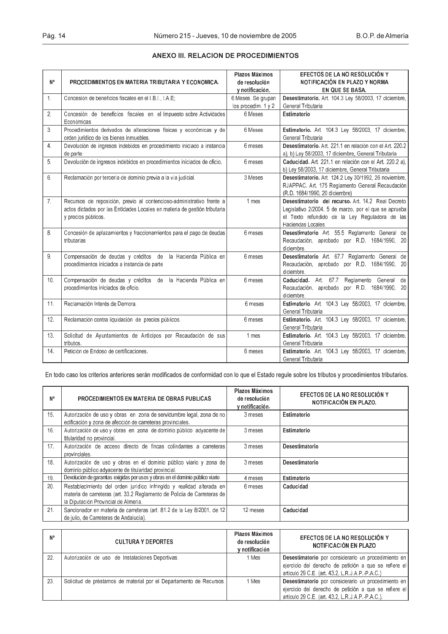| N°              | PROCEDIMIENTOS EN MATERIA TRIBUTARIA Y ECONOMICA.                                                                                                                         | Plazos Máximos<br>de resolución<br>y notificación. | EFECTOS DE LA NO RESOLUCIÓN Y<br>NOTIFICACIÓN EN PLAZO Y NORMA<br>EN QUE SE BASA.                                                                                                |  |
|-----------------|---------------------------------------------------------------------------------------------------------------------------------------------------------------------------|----------------------------------------------------|----------------------------------------------------------------------------------------------------------------------------------------------------------------------------------|--|
| $\mathbf{1}$ .  | Concesión de beneficios fiscales en el IBI. LAE:                                                                                                                          | 6 Meses. Se grupan<br>los procedim. 1 y 2          | Desestimatorio. Art. 104.3 Ley 58/2003, 17 diciembre,<br>General Tributaria                                                                                                      |  |
| 2.              | Concesión de beneficios fiscales en el Impuesto sobre Actividades<br>Económicas                                                                                           | 6 Meses                                            | Estimatorio                                                                                                                                                                      |  |
| 3 <sub>1</sub>  | Procedimientos derivados de alteraciones físicas y económicas y de<br>orden jurídico de los bienes inmuebles.                                                             | 6 Meses                                            | Estimatorio. Art. 104.3 Ley 58/2003. 17 diciembre.<br>General Tributaria                                                                                                         |  |
| 4 <sup>1</sup>  | Devolución de ingresos indebidos en procedimiento iniciado a instancia<br>de parte                                                                                        | 6 meses                                            | Desestimatorio, Art. 221.1 en relación con el Art. 220.2<br>a), b) Ley 58/2003, 17 diciembre, General Tributana                                                                  |  |
| 5.              | Devolución de ingresos indebidos en procedimientos iniciados de oficio.                                                                                                   | 6 meses                                            | Caducidad. Art. 221.1 en relación con el Art. 220.2 a).<br>b) Ley 58/2003, 17 diciembre, General Tributaria                                                                      |  |
| 6.              | Reclamación por tercería de dominio previa a la vía judicial.                                                                                                             | 3 Meses                                            | Desestimatorio. Art. 124.2 Ley 30/1992, 26 noviembre.<br>RJAPPAC, Art. 175 Reglamento General Recaudación<br>(R.D. 1684/1990, 20 diciembre)                                      |  |
| 7 <sup>1</sup>  | Recursos de reposición, previo al contencioso-administrativo frente a<br>actos dictados por las Entidades Locales en materia de gestión tributaria<br>y precios públicos. | 1 mes                                              | Desestimatorio del recurso Art 14.2 Real Decreto<br>Legislativo 2/2004, 5 de marzo, por el que se aprueba<br>el Texto refundido de la Ley Reguladora de las<br>Haciendas Locales |  |
| 8.              | Concesión de aplazamientos y fraccionamientos para el pago de deudas<br>tributarias                                                                                       | 6 meses                                            | Desestimatorio Art. 55.5 Reglamento General de<br>Recaudación, aprobado por R.D. 1684/1990, 20<br>diciembre.                                                                     |  |
| 9.              | Compensación de deudas y créditos de la Hacienda Pública en<br>procedimientos iniciados a instancia de parte                                                              | 6 meses                                            | Desestimatorio Art. 67.7 Reglamento General de<br>Recaudación, aprobado por R.D. 1684/1990, 20<br>diciembre.                                                                     |  |
| 10 <sub>1</sub> | Compensación de deudas y créditos de la Hacienda Pública en<br>procedimientos iniciados de oficio.                                                                        | 6 meses                                            | Caducidad. Art. 67.7 Reglamento General<br>de<br>Recaudación, aprobado por R.D. 1684/1990, 20<br>diciembre.                                                                      |  |
| 11.             | Reclamación Interés de Demora.                                                                                                                                            | 6 meses                                            | Estimatorio. Art. 104.3 Ley 58/2003, 17 diciembre,<br>General Tributaria                                                                                                         |  |
| 12.             | Reclamación contra liquidación de precios públicos.                                                                                                                       | 6 meses                                            | Estimatorio. Art. 104.3 Ley 58/2003, 17 diciembre,<br>General Tributaria                                                                                                         |  |
| 13.             | Solicitud de Ayuntamientos de Anticipos por Recaudación de sus<br>tributos.                                                                                               | 1 mes                                              | Estimatorio. Art. 104.3 Ley 58/2003, 17 diciembre,<br>General Tributaria                                                                                                         |  |
| 14.             | Petición de Endoso de certificaciones.                                                                                                                                    | 6 meses                                            | Estimatorio Art. 104.3 Ley 58/2003, 17 diciembre,<br>General Tributaria                                                                                                          |  |

## ANEXO III. RELACION DE PROCEDIMIENTOS

En todo caso los criterios anteriores serán modificados de conformidad con lo que el Estado regule sobre los tributos y procedimientos tributarios.

| N۰              | PROCEDIMIENTOS EN MATERIA DE OBRAS PUBLICAS                                                                                                                                              | Plazos Máximos<br>de resolución<br>y notificación. | EFECTOS DE LA NO RESOLUCIÓN Y<br>NOTIFICACIÓN EN PLAZO. |
|-----------------|------------------------------------------------------------------------------------------------------------------------------------------------------------------------------------------|----------------------------------------------------|---------------------------------------------------------|
| 15.             | Autorización de uso y obras en zona de servidumbre legal, zona de no<br>edificación y zona de afección de carreteras provinciales.                                                       | 3 meses                                            | Estimatorio                                             |
| 16.             | Autorización de uso y obras en zona de dominio público adyacente de<br>titularidad no provincial.                                                                                        | 3 meses                                            | Estimatorio                                             |
| 17 <sub>1</sub> | Autorización de acceso directo de fincas colindantes a carreteras<br>provinciales.                                                                                                       | 3 meses                                            | Desestimatorio                                          |
| 18 <sub>1</sub> | Autorización de uso y obras en el dominio público viario y zona de<br>dominio público advacente de titularidad provincial.                                                               | 3 meses                                            | Desestimatorio                                          |
| 19.             | Devolución de garantías exigidas por usos y obras en el dominio público viario                                                                                                           | 4 meses                                            | Estimatorio                                             |
| 20.             | Restablecimiento del orden jurídico infringido y realidad alterada en<br>materia de carreteras (art. 33.2 Reglamento de Policía de Carreteras de<br>la Diputación Provincial de Almería. | 6 meses                                            | Caducidad                                               |
| 21.             | Sancionador en materia de carreteras (art. 81.2 de la Ley 8/2001, de 12)<br>de julio, de Carreteras de Andalucía).                                                                       | 12 meses                                           | Caducidad                                               |

| N۰  | <b>CULTURA Y DEPORTES</b>                                          | Plazos Máximos<br>de resolución<br>v notificación | EFECTOS DE LA NO RESOLUCIÓN Y<br>NOTIFICACIÓN EN PLAZO                                                                                                           |
|-----|--------------------------------------------------------------------|---------------------------------------------------|------------------------------------------------------------------------------------------------------------------------------------------------------------------|
| 22. | Autorización de uso de Instalaciones Deportivas                    | 1 Mes                                             | Desestimatorio por considerarlo un procedimiento en<br>ejercicio del derecho de petición a que se refiere el<br>articulo 29 C.E. (art. 43.2, L.R.J.A.P. P.A.C.)  |
| 23  | Solicitud de préstamos de material por el Departamento de Recursos | 1 Mes                                             | Desestimatorio por considerarlo un procedimiento en<br>ejercicio del derecho de petición a que se refiere el<br>articulo 29 C.E. (art. 43.2, L.R.J.A.P. P.A.C.). |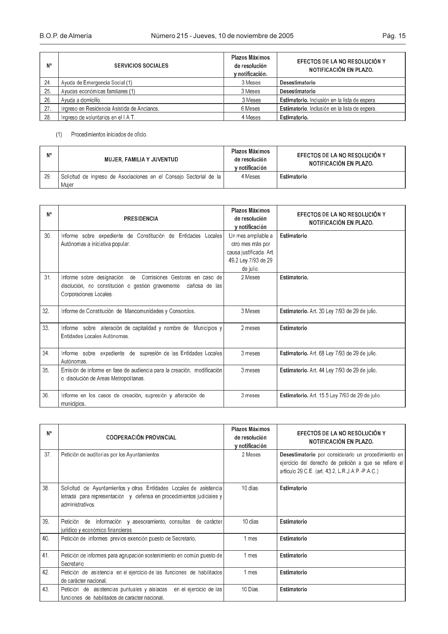| N°  | <b>SERVICIOS SOCIALES</b>                   | Plazos Máximos<br>de resolución<br>v notificación. | EFECTOS DE LA NO RESOLUCIÓN Y<br>NOTIFICACIÓN EN PLAZO. |
|-----|---------------------------------------------|----------------------------------------------------|---------------------------------------------------------|
| 24. | Ayuda de Emergencia Social (1)              | 3 Meses                                            | Desestimatorio                                          |
| 25. | Ayudas económicas familiares (1)            | 3 Meses                                            | Desestimatorio                                          |
| 26. | Ayuda a domicilio.                          | 3 Meses                                            | Estimatorio. Inclusión en la lista de espera.           |
| 27. | Ingreso en Residencia Asistida de Ancianos. | 6 Meses                                            | Estimatorio Inclusión en la lista de espera.            |
| 28  | Ingreso de voluntarios en el I.A.T.         | 4 Meses                                            | Estimatorio.                                            |

## $(1)$ Procedimientos iniciados de oficio.

| N° | MUJER, FAMILIA Y JUVENTUD                                          | Plazos Máximos<br>de resolución<br>v notificación | EFECTOS DE LA NO RESOLUCIÓN Y<br>NOTIFICACIÓN EN PLAZO. |
|----|--------------------------------------------------------------------|---------------------------------------------------|---------------------------------------------------------|
| 29 | Solicitud de ingreso de Asociaciones en el Consejo Sectorial de la | 4 Meses                                           | Estimatorio                                             |
|    | Muier                                                              |                                                   |                                                         |

| N°  | <b>PRESIDENCIA</b>                                                     | Plazos Máximos<br>de resolución<br>v notificación | EFECTOS DE LA NO RESOLUCIÓN Y<br><b>NOTIFICACIÓN EN PLAZO.</b> |
|-----|------------------------------------------------------------------------|---------------------------------------------------|----------------------------------------------------------------|
| 30. | Informe sobre expediente de Constitución de Entidades Locales          | Un mes ampliable a                                | Estimatorio                                                    |
|     | Autónomas a iniciativa popular                                         | otro mes más por                                  |                                                                |
|     |                                                                        | causa justificada. Art.                           |                                                                |
|     |                                                                        | 49.2 Ley 7/93 de 29                               |                                                                |
|     |                                                                        | de julio.                                         |                                                                |
| 31. | Informe sobre designación de Comisiones Gestoras en caso de            | 2 Meses                                           | Estimatorio.                                                   |
|     | disolución, no constitución o gestión gravemente dañosa de las         |                                                   |                                                                |
|     | Corporaciones Locales                                                  |                                                   |                                                                |
| 32. | Informe de Constitución de Mancomunidades y Consorcios.                | 3 Meses                                           | Estimatorio. Art. 30 Ley 7/93 de 29 de julio.                  |
|     |                                                                        |                                                   |                                                                |
| 33. | Informe sobre alteración de capitalidad y nombre de Municipios y       | 2 meses                                           | Estimatorio                                                    |
|     | Entidades Locales Autónomas                                            |                                                   |                                                                |
|     |                                                                        |                                                   |                                                                |
| 34. | Informe sobre expediente de supresión de las Entidades Locales         | 3 meses                                           | Estimatorio. Art. 68 Ley 7/93 de 29 de julio.                  |
|     | Autónomas                                                              |                                                   |                                                                |
| 35. | Emisión de informe en fase de audiencia para la creación, modificación | 3 meses                                           | Estimatorio. Art. 44 Ley 7/93 de 29 de julio.                  |
|     | o disolución de Areas Metropolitanas.                                  |                                                   |                                                                |
|     |                                                                        |                                                   |                                                                |
| 36. | Informe en los casos de creación, supresión y alteración de            | 3 meses                                           | Estimatorio. Art. 15.5 Ley 7/93 de 29 de julio.                |
|     | municipios.                                                            |                                                   |                                                                |

| N°  | <b>COOPERACIÓN PROVINCIAL</b>                                                                                                                                 | Plazos Máximos<br>de resolución<br>y notificación | EFECTOS DE LA NO RESOLUCIÓN Y<br>NOTIFICACIÓN EN PLAZO.                                                                                                         |
|-----|---------------------------------------------------------------------------------------------------------------------------------------------------------------|---------------------------------------------------|-----------------------------------------------------------------------------------------------------------------------------------------------------------------|
| 37. | Petición de auditorías por los Ayuntamientos                                                                                                                  | 2 Meses                                           | Desestimatorio por considerarlo un procedimiento en<br>ejercicio del derecho de petición a que se refiere el<br>articulo 29 C E. (art. 43.2, L.R.J.A.P. P.A.C.) |
| 38  | Solicitud de Ayuntamientos y otras Entidades Locales de asistencia<br>letrada para representación y defensa en procedimientos judiciales y<br>administrativos | 10 días                                           | Estimatorio                                                                                                                                                     |
| 39  | Petición de información y asesoramiento consultas de carácter<br>jurídico y económico financieras                                                             | 10 días                                           | Estimatorio                                                                                                                                                     |
| 40. | Petición de informes previos exención puesto de Secretario.                                                                                                   | 1 mes                                             | Estimatorio                                                                                                                                                     |
| 41. | Petición de informes para agrupación sostenimiento en común puesto de<br>Secretario                                                                           | 1 mes                                             | Estimatorio                                                                                                                                                     |
| 42. | Petición de asistencia en el ejercicio de las funciones de habilitados<br>de carácter nacional.                                                               | 1 mes                                             | Estimatorio                                                                                                                                                     |
| 43. | Petición de asistencias puntuales y aisladas en el ejercicio de las<br>funciones de habilitados de carácter nacional.                                         | 10 Dias.                                          | Estimatorio                                                                                                                                                     |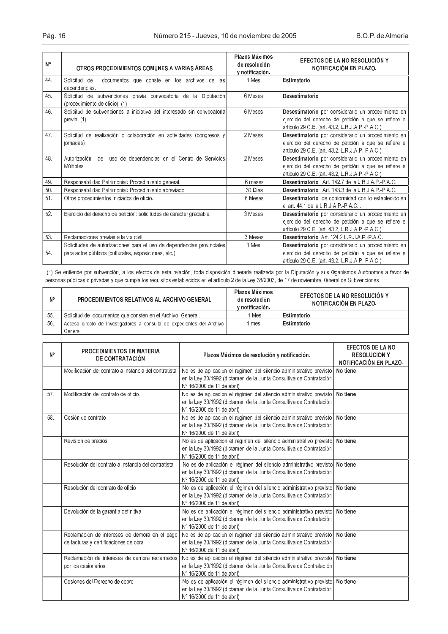| N۰  | OTROS PROCEDIMIENTOS COMUNES A VARIAS ÁREAS                                                                                    | Plazos Máximos<br>de resolución<br>y notificación. | EFECTOS DE LA NO RESOLUCIÓN Y<br>NOTIFICACIÓN EN PLAZO.                                                                                                           |
|-----|--------------------------------------------------------------------------------------------------------------------------------|----------------------------------------------------|-------------------------------------------------------------------------------------------------------------------------------------------------------------------|
| 44. | Solicitud de<br>documentos que conste en los archivos de las<br>dependencias.                                                  | 1 Mes                                              | Estimatorio                                                                                                                                                       |
| 45. | Solicitud de subvenciones previa convocatoria de la Diputación<br>(procedimiento de oficio). (1)                               | 6 Meses                                            | Desestimatorio                                                                                                                                                    |
| 46. | Solicitud de subvenciones a iniciativa del interesado sin convocatoria<br>previa (1)                                           | 6 Meses                                            | Desestimatorio por considerarlo un procedimiento en<br>ejercicio del derecho de petición a que se refiere el<br>articulo 29 C.E. (art. 43 2, L.R. J.A.P. P.A.C.). |
| 47  | Solicitud de realización o colaboración en actividades (congresos y<br>jornadas)                                               | 2 Meses                                            | Desestimatorio por considerarlo un procedimiento en<br>ejercicio del derecho de petición a que se refiere el<br>articulo 29 C.E. (art. 43.2, L.R.J.A.P.-P.A.C.)   |
| 48. | uso de dependencias en el Centro de Servicios<br>Autorización<br>de<br>Múltiples.                                              | 2 Meses                                            | Desestimatorio por considerarlo un procedimiento en<br>ejercicio del derecho de petición a que se refiere el<br>articulo 29 C.E. (art. 43.2, L.R. J.A.P. P.A.C.)  |
| 49. | Responsabilidad Patrimonial: Procedimiento general.                                                                            | 6 meses                                            | Desestimatorio Art. 142.7 de la L.R.J.A.P. P.A.C.                                                                                                                 |
| 50. | Responsabilidad Patrimonial: Procedimiento abreviado.                                                                          | 30 Días                                            | Desestimatorio Art. 1433 de la L.R.J.A.P. P.A.C.                                                                                                                  |
| 51  | Otros procedimientos iniciados de oficio.                                                                                      | 6 Meses                                            | Desestimatorio, de conformidad con lo establecido en<br>el art. $44.1$ de la LRJAPPAC.                                                                            |
| 52. | Ejercicio del derecho de petición: solicitudes de carácter graciable.                                                          | 3 Meses                                            | Desestimatorio por considerarlo un procedimiento en<br>ejercicio del derecho de petición a que se refiere el<br>articulo 29 C.E. (art. 43.2, L.R.J.A.P. P.A.C.)   |
| 53. | Reclamaciones previas a la via civil.                                                                                          | 3 Meses                                            | Desestimatorio Art. 124 2 L.R.J.A.P. P.A.C.                                                                                                                       |
| 54. | Solicitudes de autorizaciones para el uso de dependencias provinciales<br>para actos públicos (culturales, exposiciones, etc.) | 1 Mes                                              | Desestimatorio por considerarlo un procedimiento en<br>ejercicio del derecho de petición a que se refiere el<br>articulo 29 C.E. (art. 43.2, L.R. J.A.P. P.A.C.)  |

(1) Se entiende por subvención, a los efectos de esta relación, toda disposición dineraria realizada por la Diputación y sus Oganismos Autónomos a favor de personas públicas o privadas y que cumpla los requisitos establecidos en el artículo 2 de la Ley 38/2003, de 17 de noviembre, Ceneral de Subvenciones

| N۰ | <b>PROCEDIMIENTOS RELATIVOS AL ARCHIVO GENERAL</b>                     | Plazos Máximos<br>de resolución<br>v notificación. | EFECTOS DE LA NO RESOLUCIÓN Y<br>NOTIFICACIÓN EN PLAZO. |
|----|------------------------------------------------------------------------|----------------------------------------------------|---------------------------------------------------------|
| 55 | Solicitud de documentos que consten en el Archivo General.             | Mes                                                | Estimatorio                                             |
| 56 | Acceso directo de Investigadores a consulta de expedientes del Archivo | mes                                                | Estimatorio                                             |
|    | General                                                                |                                                    |                                                         |

| N۰  | <b>PROCEDIMIENTOS EN MATERIA</b><br>DE CONTRATACIÓN                                    | Plazos Máximos de resolución y notificación.                                                                                                                                     | <b>EFECTOS DE LA NO</b><br>RESOLUCIÓN Y<br>NOTIFICACIÓN EN PLAZO. |
|-----|----------------------------------------------------------------------------------------|----------------------------------------------------------------------------------------------------------------------------------------------------------------------------------|-------------------------------------------------------------------|
|     | Modificación del contrato a instancia del contratista                                  | No es de aplicación el régimen del silencio administrativo previsto<br>en la Ley 30/1992 (dictamen de la Junta Consultiva de Contratación<br>Nº 16/2000 de 11 de abril)          | No tiene                                                          |
| 57. | Modificación del contrato de oficio.                                                   | No es de aplicación el régimen del silencio administrativo previsto<br>en la Ley 30/1992 (dictamen de la Junta Consultiva de Contratación<br>Nº 16/2000 de 11 de abril)          | No tiene                                                          |
| 58. | Cesión de contrato                                                                     | No es de aplicación el régimen del silencio administrativo previsto No tiene<br>en la Ley 30/1992 (dictamen de la Junta Consultiva de Contratación<br>Nº 16/2000 de 11 de abril) |                                                                   |
|     | Revisión de precios                                                                    | No es de aplicación el régimen del silencio administrativo previsto No tiene<br>en la Ley 30/1992 (dictamen de la Junta Consultiva de Contratación<br>Nº 16/2000 de 11 de abril) |                                                                   |
|     | Resolución del contrato a instancia del contratista.                                   | No es de aplicación el régimen del silencio administrativo previsto No tiene<br>en la Ley 30/1992 (dictamen de la Junta Consultiva de Contratación<br>Nº 16/2000 de 11 de abril) |                                                                   |
|     | Resolución del contrato de oficio                                                      | No es de aplicación el régimen del silencio administrativo previsto No tiene<br>en la Ley 30/1992 (dictamen de la Junta Consultiva de Contratación<br>Nº 16/2000 de 11 de abril) |                                                                   |
|     | Devolución de la garantía definitiva                                                   | No es de aplicación el régimen del silencio administrativo previsto No tiene<br>en la Ley 30/1992 (dictamen de la Junta Consultiva de Contratación<br>Nº 16/2000 de 11 de abril) |                                                                   |
|     | Reclamación de intereses de demora en el pago<br>de facturas y certificaciones de obra | No es de aplicación el régimen del silencio administrativo previsto No tiene<br>en la Ley 30/1992 (dictamen de la Junta Consultiva de Contratación<br>Nº 16/2000 de 11 de abril) |                                                                   |
|     | Reclamación de intereses de demora reclamados<br>por los cesionarios.                  | No es de aplicación el régimen del silencio administrativo previsto<br>en la Ley 30/1992 (dictamen de la Junta Consultiva de Contratación<br>Nº 16/2000 de 11 de abril)          | No tiene                                                          |
|     | Cesiones del Derecho de cobro                                                          | No es de aplicación el régimen del silencio administrativo previsto No tiene<br>en la Ley 30/1992 (dictamen de la Junta Consultiva de Contratación<br>Nº 16/2000 de 11 de abril) |                                                                   |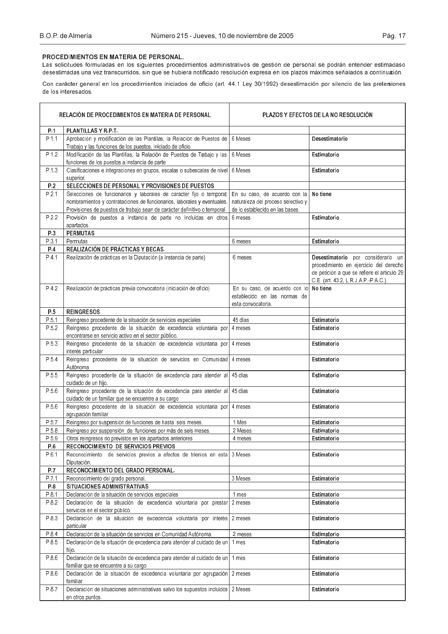## PROCEDIMIENTOS EN MATERIA DE PERSONAL.

Las solicitudes formuladas en los siguientes procedimientos administrativos de gestión de personal se podrán entender estimadaso desestimadas una vez transcurridos, sin que se hubiera notificado resolución expresa en los plazos máximos señalados a continuaión.

Con carácter general en los procedimientos iniciados de oficio (art. 44.1 Ley 30/1992) desestimación por silencio de las pretersiones de los interesados.

|       | RELACIÓN DE PROCEDIMIENTOS EN MATERIA DE PERSONAL                                                                                                                                                                            | <b>PLAZOS Y EFECTOS DE LA NO RESOLUCION</b>                                                           |                                                                                                                                                                      |
|-------|------------------------------------------------------------------------------------------------------------------------------------------------------------------------------------------------------------------------------|-------------------------------------------------------------------------------------------------------|----------------------------------------------------------------------------------------------------------------------------------------------------------------------|
| P.1   | <b>PLANTILLAS Y R.P.T.</b>                                                                                                                                                                                                   |                                                                                                       |                                                                                                                                                                      |
| P.1.1 | Aprobación y modificación de las Plantillas, la Relación de Puestos de<br>Trabajo y las funciones de los puestos, iniciado de oficio                                                                                         | 6 Meses                                                                                               | Desestimatorio                                                                                                                                                       |
| P.1.2 | Modificación de las Plantillas, la Relación de Puestos de Trabajo y las<br>funciones de los puestos a instancia de parte                                                                                                     | 6 Meses                                                                                               | Estimatorio                                                                                                                                                          |
| P.1.3 | Clasificaciones e integraciones en grupos, escalas o subescalas de nivel<br>superior.                                                                                                                                        | 6 Meses                                                                                               | Estimatorio                                                                                                                                                          |
| P.2   | SELECCIONES DE PERSONAL Y PROVISIONES DE PUESTOS                                                                                                                                                                             |                                                                                                       |                                                                                                                                                                      |
| P.2.1 | Selecciones de funcionarios y laborales de carácter fijo o temporal;<br>nombramientos y contrataciones de funcionarios, laborales y eventuales.<br>Provisiones de puestos de trabajo sean de carácter definitivo o temporal. | En su caso, de acuerdo con la<br>naturaleza del proceso selectivo y<br>de lo establecido en las bases | No tiene                                                                                                                                                             |
| P.2.2 | Provisión de puestos a instancia de parte no incluidas en otros<br>apartados.                                                                                                                                                | 6 meses                                                                                               | Estimatorio                                                                                                                                                          |
| P.3   | <b>PERMUTAS</b>                                                                                                                                                                                                              |                                                                                                       |                                                                                                                                                                      |
| P.3.1 | Permutas                                                                                                                                                                                                                     | 6 meses                                                                                               | Estimatorio                                                                                                                                                          |
| P.4   | <b>REALIZACIÓN DE PRÁCTICAS Y BECAS.</b>                                                                                                                                                                                     |                                                                                                       |                                                                                                                                                                      |
| P 4.1 | Realización de prácticas en la Diputación (a instancia de parte)                                                                                                                                                             | 6 meses                                                                                               | Desestimatorio por considerarlo un<br>procedimiento en ejercicio del derecho<br>de petición a que se refiere el articulo 29<br>C.E. (art. 43.2, L.R. J.A.P. P.A.C.). |
| P.4.2 | Realización de prácticas previa convocatoria (iniciación de oficio)                                                                                                                                                          | En su caso, de acuerdo con lo<br>establecido en las normas de<br>esta convocatoria.                   | No tiene                                                                                                                                                             |
| P.5   | <b>REINGRESOS</b>                                                                                                                                                                                                            |                                                                                                       |                                                                                                                                                                      |
| P.5.1 | Reingreso procedente de la situación de servicios especiales                                                                                                                                                                 | 45 días                                                                                               | Estimatorio                                                                                                                                                          |
| P.5.2 | Reingreso procedente de la situación de excedencia voluntaria por<br>encontrarse en servicio activo en el sector público.                                                                                                    | 4 meses                                                                                               | Estimatorio                                                                                                                                                          |
| P.5.3 | Reingreso procedente de la situación de excedencia voluntaria por 4 meses<br>interés particular                                                                                                                              |                                                                                                       | Estimatorio                                                                                                                                                          |
| P.54  | Reingreso procedente de la situación de servicios en Comunidad 4 meses<br>Autónoma                                                                                                                                           |                                                                                                       | Estimatorio                                                                                                                                                          |
| P.5.5 | Reingreso procedente de la situación de excedencia para atender al 45 días<br>cuidado de un hijo.                                                                                                                            |                                                                                                       | Estimatorio                                                                                                                                                          |
| P.5.6 | Reingreso procedente de la situación de excedencia para atender al<br>cuidado de un familiar que se encuentre a su cargo                                                                                                     | 45 días                                                                                               | Estimatorio                                                                                                                                                          |
| P.5.6 | Reingreso procedente de la situación de excedencia voluntaria por 4 meses<br>agrupación familiar                                                                                                                             |                                                                                                       | Estimatorio                                                                                                                                                          |
| P.5.7 | Reingreso por suspensión de funciones de hasta seis meses.                                                                                                                                                                   | 1 Mes                                                                                                 | Estimatorio                                                                                                                                                          |
| P.5.8 | Reingreso por suspensión de funciones por más de seis meses.                                                                                                                                                                 | 2 Meses                                                                                               | Estimatorio                                                                                                                                                          |
| P 5.9 | Otros reingresos no previstos en los apartados anteriores                                                                                                                                                                    | 4 meses                                                                                               | Estimatorio                                                                                                                                                          |
| P.6   | RECONOCIMIENTO DE SERVICIOS PREVIOS                                                                                                                                                                                          |                                                                                                       |                                                                                                                                                                      |
| P.6.1 | Reconocimiento de servicios previos a efectos de trienios en esta 3 Meses<br>Diputación.                                                                                                                                     |                                                                                                       | Estimatorio                                                                                                                                                          |
| P.7   | RECONOCIMIENTO DEL GRADO PERSONAL.                                                                                                                                                                                           |                                                                                                       |                                                                                                                                                                      |
| P.7.1 | Reconocimiento del grado personal.                                                                                                                                                                                           | 3 Meses                                                                                               | Estimatorio                                                                                                                                                          |
| P.8   | SITUACIONES ADMINISTRATIVAS                                                                                                                                                                                                  |                                                                                                       |                                                                                                                                                                      |
| P.8.1 | Declaración de la situación de servicios especiales                                                                                                                                                                          | 1 mes                                                                                                 | Estimatorio                                                                                                                                                          |
| P.8.2 | Declaración de la situación de excedencia voluntaria por prestar<br>servicios en el sector público.                                                                                                                          | 2 meses                                                                                               | Estimatorio                                                                                                                                                          |
| P.8.3 | Declaración de la situación de excedencia voluntaria por interés<br>particular                                                                                                                                               | 2 meses                                                                                               | Estimatorio                                                                                                                                                          |
| P.8.4 | Declaración de la situación de servicios en Comunidad Autónoma                                                                                                                                                               | 2 meses                                                                                               | Estimatorio                                                                                                                                                          |
| P.8.5 | Declaración de la situación de excedencia para atender al cuidado de un<br>hijo.                                                                                                                                             | 1 mes                                                                                                 | Estimatorio                                                                                                                                                          |
| P.8.6 | Declaración de la situación de excedencia para atender al cuidado de un<br>familiar que se encuentre a su cargo                                                                                                              | 1 mes                                                                                                 | Estimatorio                                                                                                                                                          |
| P.8.6 | Declaración de la situación de excedencia voluntaria por agrupación<br>familiar                                                                                                                                              | 2 meses                                                                                               | Estimatorio                                                                                                                                                          |
| P.8.7 | Declaración de situaciones administrativas salvo los supuestos incluidos<br>en otros puntos.                                                                                                                                 | 2 Meses                                                                                               | Estimatorio                                                                                                                                                          |